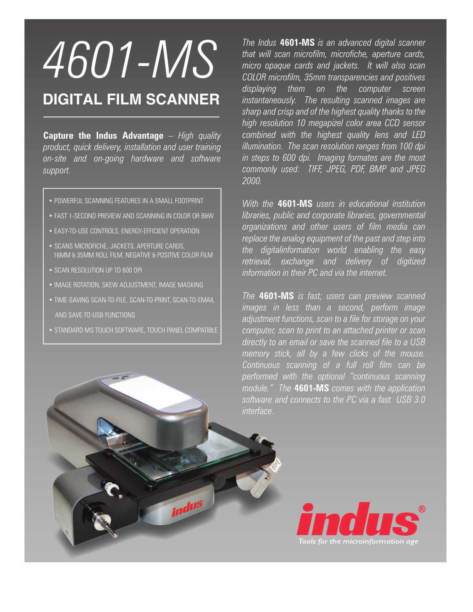## *4601-MS*

## **DIGITAL FILM SCANNER**

**Capture the Indus Advantage** *– High quality product, quick delivery, installation and user training on-site and on-going hardware and software support.* 

- . POWERFUL SCANNING FEATURES IN A SMALL FOOTPRINT
- . FAST 1-SECOND PREVIEW AND SCANNING IN COLOR OR B&W
- EASY-TO-USE CONTROLS, ENERGY-EFFICIENT OPERATION
- SCANS MICROFICHE, JACKETS, APERTURE CARDS, 16MM & 35MM ROLL FILM, NEGATIVE & POSITIVE COLOR FILM
- SCAN RESOLUTION UP TO 600 DPL
- . IMAGE ROTATION, SKEW ADJUSTMENT, IMAGE MASKING
- . TIME-SAVING SCAN-TO-FILE, SCAN-TO-PRINT, SCAN-TO-FMAIL AND SAVE-TO-USB FUNCTIONS
- STANDARD MS TOUCH SOFTWARE, TOUCH PANEL COMPATIBLE

indus

*The Indus* **4601-MS** *is an advanced digital scanner that will scan microfilm, microfiche, aperture cards, micro opaque cards and jackets. It will also scan COLOR microfilm, 35mm transparencies and positives displaying them on the computer screen instantaneously. The resulting scanned images are sharp and crisp and of the highest quality thanks to the high resolution 10 megapizel color area CCD sensor combined with the highest quality lens and LED illumination. The scan resolution ranges from 100 dpi in steps to 600 dpi. Imaging formates are the most commonly used: TIFF, JPEG, PDF, BMP and JPEG 2000.*

*With the* **4601-MS** *users in educational institution libraries, public and corporate libraries, governmental organizations and other users of film media can replace the analog equipment of the past and step into the digitalinformation world enabling the easy retrieval, exchange and delivery of digitized information in their PC and via the internet.*

*The* **4601-MS** *is fast; users can preview scanned images in less than a second, perform image adjustment functions, scan to a file for storage on your computer, scan to print to an attached printer or scan directly to an email or save the scanned file to a USB memory stick, all by a few clicks of the mouse. Continuous scanning of a full roll film can be performed with the optional "continuous scanning module." The* **4601-MS** *comes with the application software and connects to the PC via a fast USB 3.0 interface.*